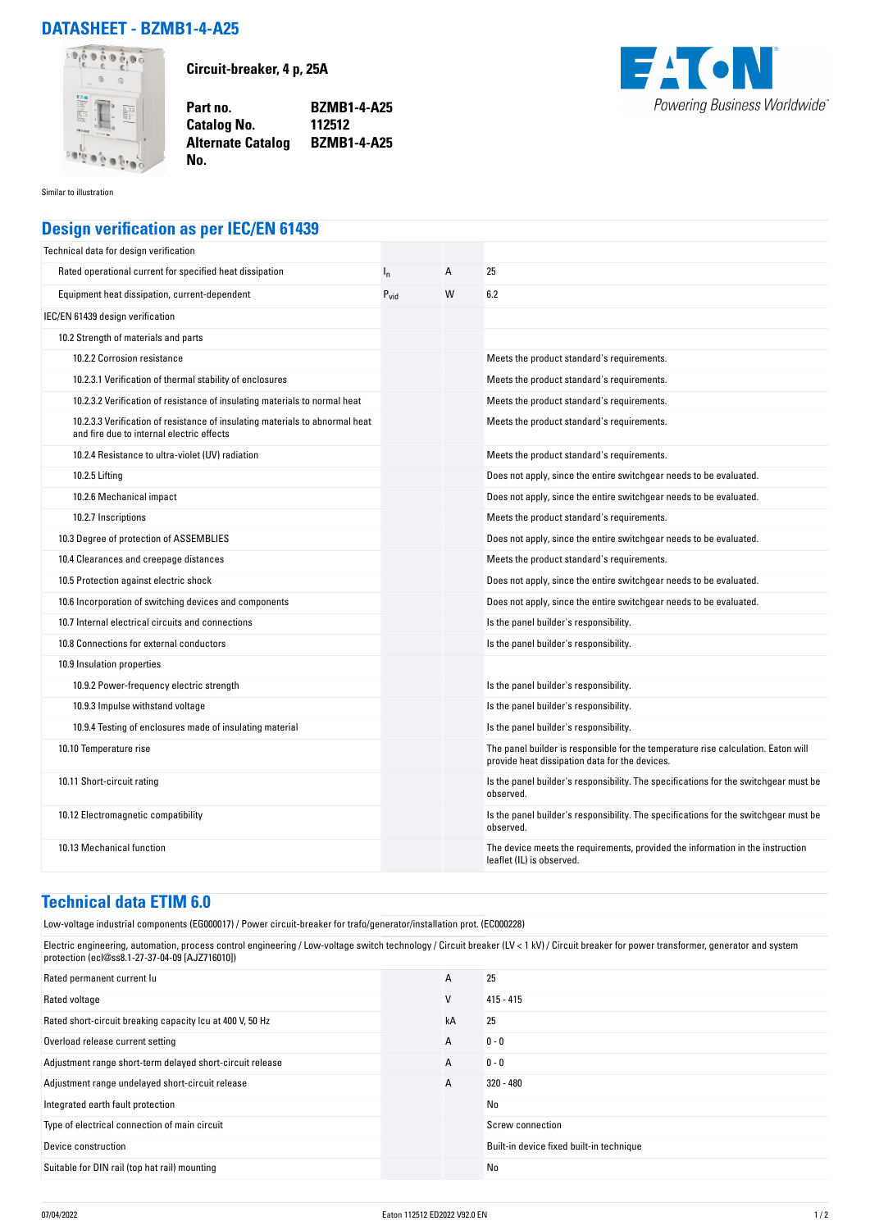## **DATASHEET - BZMB1-4-A25**



**Circuit-breaker, 4 p, 25A**

**Part no. BZMB1-4-A25 Catalog No. Alternate Catalog BZMB1-4-A25**



Similar to illustration

## **Design verification as per IEC/EN 61439**

**No.** 

| Technical data for design verification                                                                                    |           |   |                                                                                                                                     |
|---------------------------------------------------------------------------------------------------------------------------|-----------|---|-------------------------------------------------------------------------------------------------------------------------------------|
| Rated operational current for specified heat dissipation                                                                  | $I_{n}$   | A | 25                                                                                                                                  |
| Equipment heat dissipation, current-dependent                                                                             | $P_{vid}$ | W | 6.2                                                                                                                                 |
| IEC/EN 61439 design verification                                                                                          |           |   |                                                                                                                                     |
| 10.2 Strength of materials and parts                                                                                      |           |   |                                                                                                                                     |
| 10.2.2 Corrosion resistance                                                                                               |           |   | Meets the product standard's requirements.                                                                                          |
| 10.2.3.1 Verification of thermal stability of enclosures                                                                  |           |   | Meets the product standard's requirements.                                                                                          |
| 10.2.3.2 Verification of resistance of insulating materials to normal heat                                                |           |   | Meets the product standard's requirements.                                                                                          |
| 10.2.3.3 Verification of resistance of insulating materials to abnormal heat<br>and fire due to internal electric effects |           |   | Meets the product standard's requirements.                                                                                          |
| 10.2.4 Resistance to ultra-violet (UV) radiation                                                                          |           |   | Meets the product standard's requirements.                                                                                          |
| 10.2.5 Lifting                                                                                                            |           |   | Does not apply, since the entire switchgear needs to be evaluated.                                                                  |
| 10.2.6 Mechanical impact                                                                                                  |           |   | Does not apply, since the entire switchgear needs to be evaluated.                                                                  |
| 10.2.7 Inscriptions                                                                                                       |           |   | Meets the product standard's requirements.                                                                                          |
| 10.3 Degree of protection of ASSEMBLIES                                                                                   |           |   | Does not apply, since the entire switchgear needs to be evaluated.                                                                  |
| 10.4 Clearances and creepage distances                                                                                    |           |   | Meets the product standard's requirements.                                                                                          |
| 10.5 Protection against electric shock                                                                                    |           |   | Does not apply, since the entire switchgear needs to be evaluated.                                                                  |
| 10.6 Incorporation of switching devices and components                                                                    |           |   | Does not apply, since the entire switchgear needs to be evaluated.                                                                  |
| 10.7 Internal electrical circuits and connections                                                                         |           |   | Is the panel builder's responsibility.                                                                                              |
| 10.8 Connections for external conductors                                                                                  |           |   | Is the panel builder's responsibility.                                                                                              |
| 10.9 Insulation properties                                                                                                |           |   |                                                                                                                                     |
| 10.9.2 Power-frequency electric strength                                                                                  |           |   | Is the panel builder's responsibility.                                                                                              |
| 10.9.3 Impulse withstand voltage                                                                                          |           |   | Is the panel builder's responsibility.                                                                                              |
| 10.9.4 Testing of enclosures made of insulating material                                                                  |           |   | Is the panel builder's responsibility.                                                                                              |
| 10.10 Temperature rise                                                                                                    |           |   | The panel builder is responsible for the temperature rise calculation. Eaton will<br>provide heat dissipation data for the devices. |
| 10.11 Short-circuit rating                                                                                                |           |   | Is the panel builder's responsibility. The specifications for the switchgear must be<br>observed.                                   |
| 10.12 Electromagnetic compatibility                                                                                       |           |   | Is the panel builder's responsibility. The specifications for the switchgear must be<br>observed.                                   |
| 10.13 Mechanical function                                                                                                 |           |   | The device meets the requirements, provided the information in the instruction<br>leaflet (IL) is observed.                         |

## **Technical data ETIM 6.0**

Low-voltage industrial components (EG000017) / Power circuit-breaker for trafo/generator/installation prot. (EC000228)

Electric engineering, automation, process control engineering / Low-voltage switch technology / Circuit breaker (LV < 1 kV) / Circuit breaker for power transformer, generator and system protection (ecl@ss8.1-27-37-04-09 [AJZ716010])

| Rated permanent current lu                                | A  | 25                                       |
|-----------------------------------------------------------|----|------------------------------------------|
| Rated voltage                                             | V  | $415 - 415$                              |
| Rated short-circuit breaking capacity Icu at 400 V, 50 Hz | kA | 25                                       |
| Overload release current setting                          | A  | $0 - 0$                                  |
| Adjustment range short-term delayed short-circuit release | A  | $0 - 0$                                  |
| Adjustment range undelayed short-circuit release          | А  | $320 - 480$                              |
| Integrated earth fault protection                         |    | No                                       |
| Type of electrical connection of main circuit             |    | Screw connection                         |
| Device construction                                       |    | Built-in device fixed built-in technique |
| Suitable for DIN rail (top hat rail) mounting             |    | No                                       |